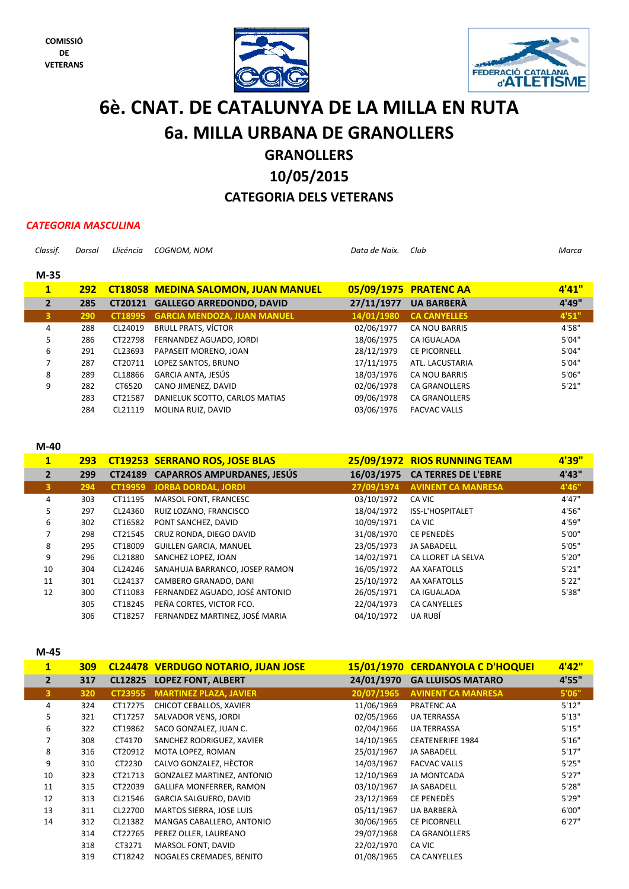



# **6è. CNAT. DE CATALUNYA DE LA MILLA EN RUTA 6a. MILLA URBANA DE GRANOLLERS**

## **GRANOLLERS**

## **10/05/2015**

## **CATEGORIA DELS VETERANS**

### *CATEGORIA MASCULINA*

| Classif.     | Dorsal     | Llicéncia | <b>COGNOM. NOM</b>                         | Data de Naix. | Club                 | Marca  |
|--------------|------------|-----------|--------------------------------------------|---------------|----------------------|--------|
| $M-35$       |            |           |                                            |               |                      |        |
|              |            |           |                                            |               |                      |        |
| $\mathbf{1}$ | <b>292</b> |           | <b>CT18058 MEDINA SALOMON, JUAN MANUEL</b> | 05/09/1975    | <b>PRATENC AA</b>    | 4'41'' |
| $\mathbf{2}$ | 285        | CT20121   | <b>GALLEGO ARREDONDO, DAVID</b>            | 27/11/1977    | <b>UA BARBERA</b>    | 4'49"  |
| 3            | 290        | CT18995   | <b>GARCIA MENDOZA, JUAN MANUEL</b>         | 14/01/1980    | <b>CA CANYELLES</b>  | 4'51'' |
| 4            | 288        | CL24019   | <b>BRULL PRATS, VÍCTOR</b>                 | 02/06/1977    | <b>CA NOU BARRIS</b> | 4'58"  |
| 5.           | 286        | CT22798   | FERNANDEZ AGUADO, JORDI                    | 18/06/1975    | <b>CA IGUALADA</b>   | 5'04"  |
| 6            | 291        | CL23693   | PAPASEIT MORENO, JOAN                      | 28/12/1979    | <b>CE PICORNELL</b>  | 5'04"  |
| 7            | 287        | CT20711   | LOPEZ SANTOS, BRUNO                        | 17/11/1975    | ATL. LACUSTARIA      | 5'04"  |
| 8            | 289        | CL18866   | GARCIA ANTA, JESÚS                         | 18/03/1976    | <b>CA NOU BARRIS</b> | 5'06"  |
| 9            | 282        | CT6520    | CANO JIMENEZ, DAVID                        | 02/06/1978    | <b>CA GRANOLLERS</b> | 5'21"  |
|              | 283        | CT21587   | DANIELUK SCOTTO, CARLOS MATIAS             | 09/06/1978    | <b>CA GRANOLLERS</b> |        |
|              | 284        | CL21119   | MOLINA RUIZ, DAVID                         | 03/06/1976    | <b>FACVAC VALLS</b>  |        |

### **M‐40**

| 293 |         |                                |                                                                                                           |                            | 4'39"                        |
|-----|---------|--------------------------------|-----------------------------------------------------------------------------------------------------------|----------------------------|------------------------------|
| 299 |         |                                | 16/03/1975                                                                                                | <b>CA TERRES DE L'EBRE</b> | 4'43"                        |
| 294 | CT19959 |                                | 27/09/1974                                                                                                | <b>AVINENT CA MANRESA</b>  | 4'46"                        |
| 303 | CT11195 | MARSOL FONT, FRANCESC          | 03/10/1972                                                                                                | CA VIC                     | 4'47"                        |
| 297 | CL24360 | RUIZ LOZANO, FRANCISCO         | 18/04/1972                                                                                                | ISS-L'HOSPITALET           | 4'56"                        |
| 302 | CT16582 | PONT SANCHEZ, DAVID            | 10/09/1971                                                                                                | CA VIC                     | 4'59"                        |
| 298 | CT21545 | CRUZ RONDA, DIEGO DAVID        | 31/08/1970                                                                                                | CE PENEDÈS                 | 5'00"                        |
| 295 | CT18009 | <b>GUILLEN GARCIA, MANUEL</b>  | 23/05/1973                                                                                                | <b>JA SABADELL</b>         | 5'05"                        |
| 296 | CL21880 | SANCHEZ LOPEZ, JOAN            | 14/02/1971                                                                                                | CA LLORET LA SELVA         | 5'20"                        |
| 304 | CL24246 | SANAHUJA BARRANCO, JOSEP RAMON | 16/05/1972                                                                                                | AA XAFATOLLS               | 5'21"                        |
| 301 | CL24137 | CAMBERO GRANADO, DANI          | 25/10/1972                                                                                                | AA XAFATOLLS               | 5'22"                        |
| 300 | CT11083 | FERNANDEZ AGUADO, JOSÉ ANTONIO | 26/05/1971                                                                                                | CA IGUALADA                | 5'38"                        |
| 305 | CT18245 | PEÑA CORTES, VICTOR FCO.       | 22/04/1973                                                                                                | <b>CA CANYELLES</b>        |                              |
| 306 | CT18257 | FERNANDEZ MARTINEZ. JOSÉ MARIA | 04/10/1972                                                                                                | UA RUBÍ                    |                              |
|     |         |                                | <b>CT19253 SERRANO ROS, JOSE BLAS</b><br>CT24189 CAPARROS AMPURDANES, JESÚS<br><b>JORBA DORDAL, JORDI</b> |                            | 25/09/1972 RIOS RUNNING TEAM |

### **M‐45**

| $\mathbf{1}$   | 309 |         | <b>CL24478 VERDUGO NOTARIO, JUAN JOSE</b> |            | 15/01/1970 CERDANYOLA C D'HOQUEI | 4'42" |
|----------------|-----|---------|-------------------------------------------|------------|----------------------------------|-------|
| $\overline{2}$ | 317 | CL12825 | <b>LOPEZ FONT, ALBERT</b>                 | 24/01/1970 | <b>GA LLUISOS MATARO</b>         | 4'55" |
| 3              | 320 | CT23955 | <b>MARTINEZ PLAZA, JAVIER</b>             | 20/07/1965 | <b>AVINENT CA MANRESA</b>        | 5'06" |
| 4              | 324 | CT17275 | CHICOT CEBALLOS, XAVIER                   | 11/06/1969 | PRATENC AA                       | 5'12" |
| 5.             | 321 | CT17257 | SALVADOR VENS, JORDI                      | 02/05/1966 | <b>UA TERRASSA</b>               | 5'13" |
| 6              | 322 | CT19862 | SACO GONZALEZ, JUAN C.                    | 02/04/1966 | <b>UA TERRASSA</b>               | 5'15" |
|                | 308 | CT4170  | SANCHEZ RODRIGUEZ, XAVIER                 | 14/10/1965 | <b>CEATENERIFE 1984</b>          | 5'16" |
| 8              | 316 | CT20912 | MOTA LOPEZ, ROMAN                         | 25/01/1967 | <b>JA SABADELL</b>               | 5'17" |
| 9              | 310 | CT2230  | CALVO GONZALEZ, HÈCTOR                    | 14/03/1967 | <b>FACVAC VALLS</b>              | 5'25" |
| 10             | 323 | CT21713 | GONZALEZ MARTINEZ, ANTONIO                | 12/10/1969 | <b>JA MONTCADA</b>               | 5'27" |
| 11             | 315 | CT22039 | GALLIFA MONFERRER, RAMON                  | 03/10/1967 | <b>JA SABADELL</b>               | 5'28" |
| 12             | 313 | CL21546 | GARCIA SALGUERO, DAVID                    | 23/12/1969 | CE PENEDÈS                       | 5'29" |
| 13             | 311 | CL22700 | MARTOS SIERRA, JOSE LUIS                  | 05/11/1967 | UA BARBERA                       | 6'00" |
| 14             | 312 | CL21382 | MANGAS CABALLERO, ANTONIO                 | 30/06/1965 | CE PICORNELL                     | 6'27" |
|                | 314 | CT22765 | PEREZ OLLER, LAUREANO                     | 29/07/1968 | <b>CA GRANOLLERS</b>             |       |
|                | 318 | CT3271  | MARSOL FONT, DAVID                        | 22/02/1970 | CA VIC                           |       |
|                | 319 | CT18242 | NOGALES CREMADES, BENITO                  | 01/08/1965 | <b>CA CANYELLES</b>              |       |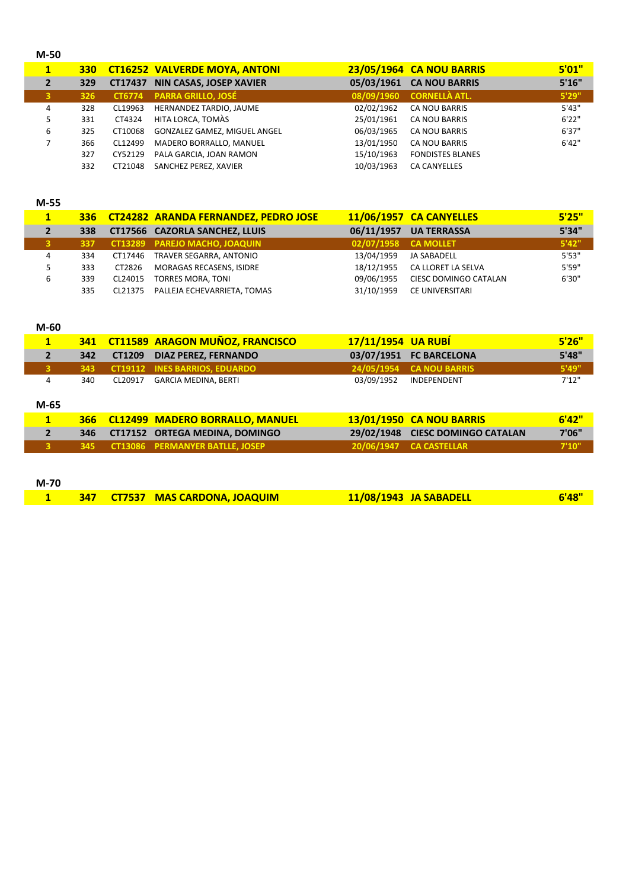| $M-50$ |     |         |                                      |            |                                 |        |
|--------|-----|---------|--------------------------------------|------------|---------------------------------|--------|
| 1      | 330 |         | <b>CT16252 VALVERDE MOYA, ANTONI</b> |            | <b>23/05/1964 CA NOU BARRIS</b> | 5'01"  |
| 2      | 329 | CT17437 | <b>NIN CASAS, JOSEP XAVIER</b>       | 05/03/1961 | <b>CA NOU BARRIS</b>            | 5'16'' |
| 3      | 326 | CT6774  | <b>PARRA GRILLO, JOSÉ</b>            | 08/09/1960 | <b>CORNELLÀ ATL.</b>            | 5'29"  |
| 4      | 328 | CL19963 | HERNANDEZ TARDIO, JAUME              | 02/02/1962 | CA NOU BARRIS                   | 5'43"  |
| 5      | 331 | CT4324  | HITA LORCA. TOMÀS                    | 25/01/1961 | <b>CA NOU BARRIS</b>            | 6'22"  |
| 6      | 325 | CT10068 | GONZALEZ GAMEZ, MIGUEL ANGEL         | 06/03/1965 | CA NOU BARRIS                   | 6'37"  |
|        | 366 | CL12499 | MADERO BORRALLO, MANUEL              | 13/01/1950 | <b>CA NOU BARRIS</b>            | 6'42"  |
|        | 327 | CY52129 | PALA GARCIA, JOAN RAMON              | 15/10/1963 | <b>FONDISTES BLANES</b>         |        |
|        | 332 | CT21048 | SANCHEZ PEREZ, XAVIER                | 10/03/1963 | <b>CA CANYELLES</b>             |        |

### **M‐55**

|    | <b>336</b> |         | <b>CT24282 ARANDA FERNANDEZ, PEDRO JOSE</b> |                      | 11/06/1957 CA CANYELLES | 5'25" |
|----|------------|---------|---------------------------------------------|----------------------|-------------------------|-------|
| 2  | 338        |         | CT17566 CAZORLA SANCHEZ, LLUIS              | 06/11/1957           | <b>UA TERRASSA</b>      | 5'34" |
|    | 337        |         | <b>CT13289 PAREJO MACHO, JOAQUIN</b>        | 02/07/1958 CA MOLLET |                         | 5'42" |
| 4  | 334        | CT17446 | TRAVER SEGARRA, ANTONIO                     | 13/04/1959           | JA SABADELL             | 5'53" |
| 5. | 333        | CT2826  | MORAGAS RECASENS, ISIDRE                    | 18/12/1955           | CA LLORET LA SELVA      | 5'59" |
| 6  | 339        | CL24015 | <b>TORRES MORA, TONI</b>                    | 09/06/1955           | CIESC DOMINGO CATALAN   | 6'30" |
|    | 335        | CL21375 | PALLEJA ECHEVARRIETA, TOMAS                 | 31/10/1959           | <b>CE UNIVERSITARI</b>  |       |

### **M‐60**

| $\mathbf{1}$   | 341        |         | <b>CT11589 ARAGON MUÑOZ, FRANCISCO</b> | 17/11/1954 UA RUBÍ |                                 | 5'26"  |
|----------------|------------|---------|----------------------------------------|--------------------|---------------------------------|--------|
| $\overline{2}$ | 342        | CT1209  | <b>DIAZ PEREZ, FERNANDO</b>            | 03/07/1951         | <b>FC BARCELONA</b>             | 5'48"  |
| 3              | 343        |         | <b>CT19112 INES BARRIOS, EDUARDO</b>   |                    | 24/05/1954 CA NOU BARRIS        | 5'49'' |
| 4              | 340        | CL20917 | <b>GARCIA MEDINA, BERTI</b>            | 03/09/1952         | <b>INDEPENDENT</b>              | 7'12"  |
| $M-65$         |            |         |                                        |                    |                                 |        |
| 1              | <b>366</b> |         | <b>CL12499 MADERO BORRALLO, MANUEL</b> |                    | <b>13/01/1950 CA NOU BARRIS</b> | 6'42"  |
| $\overline{2}$ | 346        |         | CT17152 ORTEGA MEDINA, DOMINGO         | 29/02/1948         | <b>CIESC DOMINGO CATALAN</b>    | 7'06"  |
|                |            |         |                                        |                    |                                 |        |
|                | 345        |         | <b>CT13086 PERMANYER BATLLE, JOSEP</b> |                    | 20/06/1947 CA CASTELLAR         | 7'10'' |

| M-70 |  |                                                                                                                        |                        |       |
|------|--|------------------------------------------------------------------------------------------------------------------------|------------------------|-------|
|      |  | <b>SALES AND STATE OF STATE OF STATE STATE STATE STATE STATE STATE STATE STATE STATE STATE STATE STATE STATE STATE</b> | 11/08/1943 JA SABADELL | 6'48" |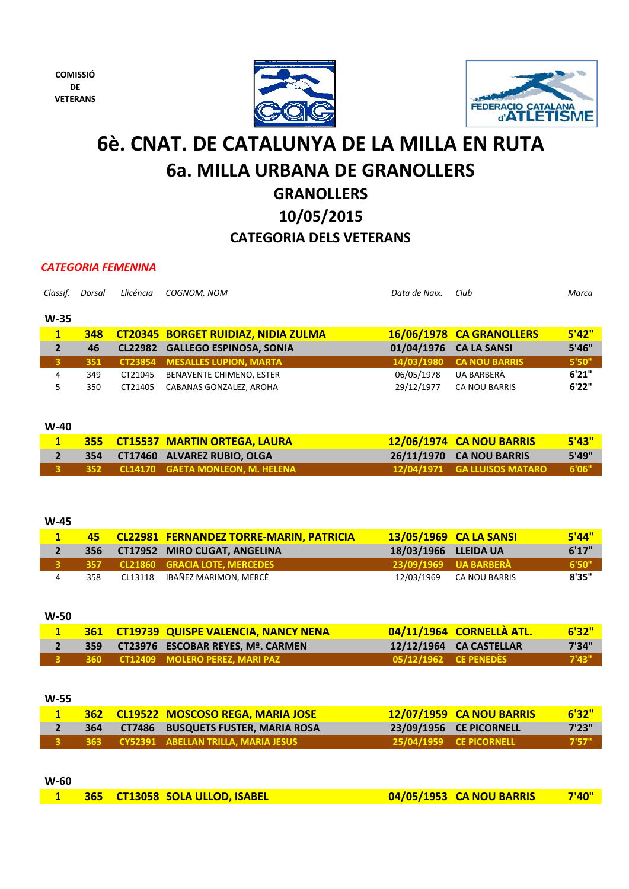**COMISSIÓ DE VETERANS**





## **GRANOLLERS 6è. CNAT. DE CATALUNYA DE LA MILLA EN RUTA 6a. MILLA URBANA DE GRANOLLERS**

# **10/05/2015**

## **CATEGORIA DELS VETERANS**

### *CATEGORIA FEMENINA*

| Classif.     | Dorsal     | Llicéncia      | COGNOM, NOM                                | Data de Naix. | Club                     | Marca     |
|--------------|------------|----------------|--------------------------------------------|---------------|--------------------------|-----------|
| $W-35$       |            |                |                                            |               |                          |           |
| 1            | 348        |                | <b>CT20345 BORGET RUIDIAZ, NIDIA ZULMA</b> |               | 16/06/1978 CA GRANOLLERS | 5'42"     |
| $\mathbf{2}$ | 46         | CL22982        | <b>GALLEGO ESPINOSA, SONIA</b>             | 01/04/1976    | <b>CA LA SANSI</b>       | 5'46"     |
| 3            | 351        | <b>CT23854</b> | <b>MESALLES LUPION, MARTA</b>              | 14/03/1980    | <b>CA NOU BARRIS</b>     | 5'50"     |
| 4            | 349        | CT21045        | BENAVENTE CHIMENO, ESTER                   | 06/05/1978    | UA BARBERÀ               | 6'21"     |
| 5            | 350        | CT21405        | CABANAS GONZALEZ, AROHA                    | 29/12/1977    | <b>CA NOU BARRIS</b>     | 6'22"     |
|              |            |                |                                            |               |                          |           |
| $W-40$       |            |                |                                            |               |                          |           |
| 1            | <b>355</b> |                | <b>CT15537 MARTIN ORTEGA, LAURA</b>        |               | 12/06/1974 CA NOU BARRIS | 5'43"     |
|              | ---        |                |                                            |               |                          | $-1 - -1$ |

|  | <b>355 CLISS37 MARTIN ORTEGA, LAURA</b>       | <u>IZ/UD/IY/4 CA NOU BAKKIS</u>    | 545   |
|--|-----------------------------------------------|------------------------------------|-------|
|  | 354 CT17460 ALVAREZ RUBIO, OLGA               | 26/11/1970 CA NOU BARRIS           | 5'49" |
|  | <b>3 352 CL14170 GAETA MONLEON, M. HELENA</b> | 12/04/1971 GA LLUISOS MATARO 6'06" |       |

### **W‐45**

|     | 45 CL22981 FERNANDEZ TORRE-MARIN, PATRICIA |                      | 13/05/1969 CA LA SANSI   | <b>5'44"</b> |
|-----|--------------------------------------------|----------------------|--------------------------|--------------|
|     | 356 CT17952 MIRO CUGAT, ANGELINA           | 18/03/1966 LLEIDA UA |                          | 6'17"        |
|     | 357 CL21860 GRACIA LOTE. MERCEDES          |                      | 23/09/1969 UA BARBERÀ    | 6'50"        |
| 358 | CL13118 IBAÑEZ MARIMON, MERCÈ              |                      | 12/03/1969 CA NOU BARRIS | 8'35"        |

**W‐50**

|  | <b>361 CT19739 QUISPE VALENCIA, NANCY NENA</b> |                       | 04/11/1964 CORNELLÀ ATL. | 6'32"     |
|--|------------------------------------------------|-----------------------|--------------------------|-----------|
|  | 359 CT23976 ESCOBAR REYES, Mª. CARMEN          |                       | 12/12/1964 CA CASTELLAR  | 7'34"     |
|  |                                                | 05/12/1962 CE PENEDÈS |                          | $-7'43''$ |

### **W‐55**

|  | 362 CL19522 MOSCOSO REGA, MARIA JOSE   | <b>12/07/1959 CA NOU BARRIS</b> | 6'32'' |
|--|----------------------------------------|---------------------------------|--------|
|  | 364 CT7486 BUSQUETS FUSTER, MARIA ROSA | 23/09/1956 CE PICORNELL         | 7'23"  |
|  |                                        | 25/04/1959 CE PICORNELL         | $-757$ |

## **W‐60 1 365 CT13058 SOLA ULLOD, ISABEL 04/05/1953 CA NOU BARRIS 7'40"**